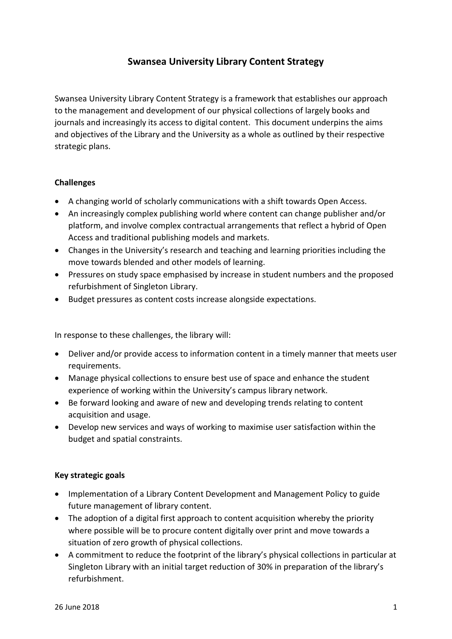## **Swansea University Library Content Strategy**

Swansea University Library Content Strategy is a framework that establishes our approach to the management and development of our physical collections of largely books and journals and increasingly its access to digital content. This document underpins the aims and objectives of the Library and the University as a whole as outlined by their respective strategic plans.

## **Challenges**

- A changing world of scholarly communications with a shift towards Open Access.
- An increasingly complex publishing world where content can change publisher and/or platform, and involve complex contractual arrangements that reflect a hybrid of Open Access and traditional publishing models and markets.
- Changes in the University's research and teaching and learning priorities including the move towards blended and other models of learning.
- Pressures on study space emphasised by increase in student numbers and the proposed refurbishment of Singleton Library.
- Budget pressures as content costs increase alongside expectations.

In response to these challenges, the library will:

- Deliver and/or provide access to information content in a timely manner that meets user requirements.
- Manage physical collections to ensure best use of space and enhance the student experience of working within the University's campus library network.
- Be forward looking and aware of new and developing trends relating to content acquisition and usage.
- Develop new services and ways of working to maximise user satisfaction within the budget and spatial constraints.

## **Key strategic goals**

- Implementation of a Library Content Development and Management Policy to guide future management of library content.
- The adoption of a digital first approach to content acquisition whereby the priority where possible will be to procure content digitally over print and move towards a situation of zero growth of physical collections.
- A commitment to reduce the footprint of the library's physical collections in particular at Singleton Library with an initial target reduction of 30% in preparation of the library's refurbishment.